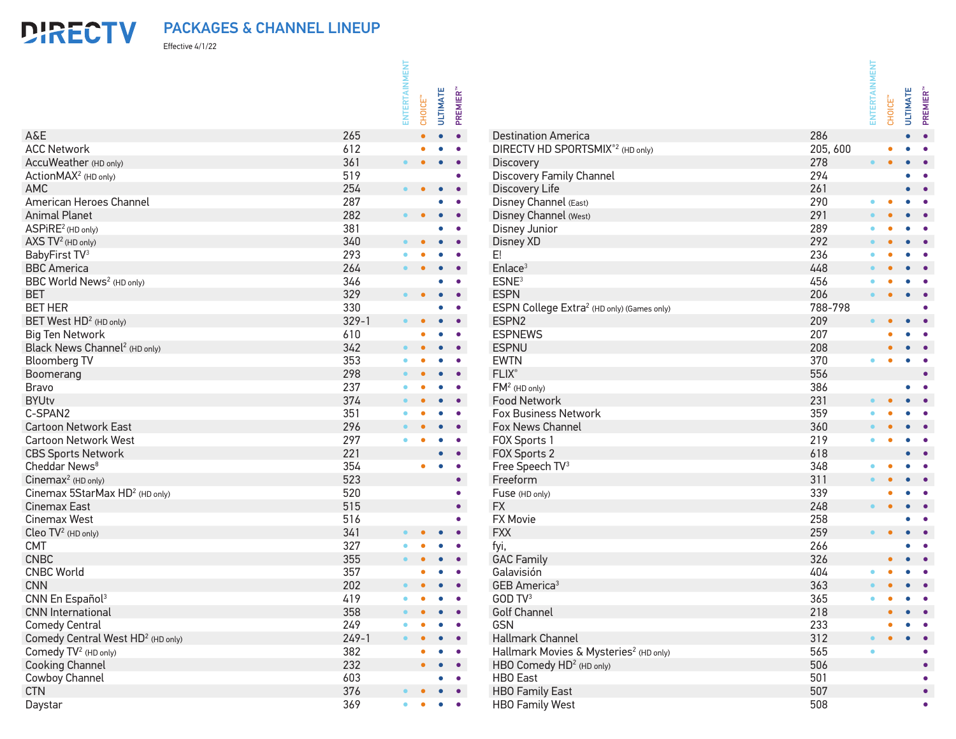PACKAGES & CHANNEL LINEUP

Effective 4/1/22

**DIRECTV** 

|                                               |            | 즓         |                           |                                                                                                          |                              |           |                                                        |            |                     |                           |                 |                             |
|-----------------------------------------------|------------|-----------|---------------------------|----------------------------------------------------------------------------------------------------------|------------------------------|-----------|--------------------------------------------------------|------------|---------------------|---------------------------|-----------------|-----------------------------|
|                                               |            |           |                           |                                                                                                          |                              |           |                                                        |            | ENTERTAINMENT       |                           |                 |                             |
|                                               |            | ENTERTAIN |                           |                                                                                                          |                              |           |                                                        |            |                     |                           |                 |                             |
|                                               |            |           | <b>CHOICE<sup>™</sup></b> | <b>ULTIMATE</b>                                                                                          | <b>PREMIER</b> <sup>®</sup>  |           |                                                        |            |                     | <b>CHOICE<sup>™</sup></b> | <b>ULTIMATE</b> | <b>PREMIER</b> <sup>®</sup> |
|                                               |            |           |                           |                                                                                                          |                              |           |                                                        |            |                     |                           |                 |                             |
| A&E                                           | 265        |           |                           | $\bullet$                                                                                                | $\bullet$                    |           | <b>Destination America</b>                             | 286        |                     |                           |                 |                             |
| <b>ACC Network</b>                            | 612        |           |                           | $\bullet$                                                                                                | $\bullet$                    |           | DIRECTV HD SPORTSMIX®2 (HD only)                       | 205, 600   |                     |                           |                 |                             |
| AccuWeather (HD only)                         | 361        |           |                           | $\begin{array}{ccccccccccccc} \bullet & & \bullet & & \bullet & & \bullet \end{array}$                   | $\bullet$                    |           | Discovery                                              | 278        | $\bullet$ $\bullet$ |                           |                 |                             |
| ActionMAX <sup>2</sup> (HD only)              | 519        |           |                           |                                                                                                          | $\bullet$                    |           | <b>Discovery Family Channel</b>                        | 294        |                     |                           |                 |                             |
| <b>AMC</b>                                    | 254        |           | $\bullet$ $\bullet$       | $\bullet$                                                                                                | $\bullet$                    |           | Discovery Life                                         | 261        |                     |                           |                 |                             |
| American Heroes Channel                       | 287        |           |                           |                                                                                                          | $\bullet$                    |           | Disney Channel (East)                                  | 290        |                     |                           |                 |                             |
| <b>Animal Planet</b>                          | 282        |           | $\bullet \qquad \bullet$  |                                                                                                          | $\bullet$                    |           | Disney Channel (West)                                  | 291        |                     |                           |                 |                             |
| ASPIRE <sup>2</sup> (HD only)                 | 381        |           |                           |                                                                                                          | $\bullet$                    |           | Disney Junior                                          | 289        |                     |                           |                 |                             |
| AXS TV <sup>2</sup> (HD only)                 | 340        |           | $\bullet \qquad \bullet$  | $\bullet$                                                                                                | $\bullet$                    |           | Disney XD                                              | 292        |                     |                           |                 |                             |
| BabyFirst TV3                                 | 293        |           |                           |                                                                                                          |                              |           | E!                                                     | 236        |                     |                           |                 |                             |
| <b>BBC</b> America                            | 264        |           |                           | $\bullet$                                                                                                |                              |           | Enlace <sup>3</sup>                                    | 448        |                     |                           |                 |                             |
| BBC World News <sup>2</sup> (HD only)         | 346        |           |                           |                                                                                                          | $\bullet$                    |           | ESNE <sup>3</sup>                                      | 456        |                     |                           |                 |                             |
| <b>BET</b>                                    | 329        |           | $\bullet \qquad \bullet$  | $\bullet$                                                                                                | $\bullet$                    |           | <b>ESPN</b>                                            | 206        |                     |                           |                 |                             |
| <b>BET HER</b>                                | 330        |           |                           |                                                                                                          | $\bullet$                    |           | ESPN College Extra <sup>2</sup> (HD only) (Games only) | 788-798    |                     |                           |                 |                             |
| BET West HD <sup>2</sup> (HD only)            | $329 - 1$  |           | $\bullet \qquad \bullet$  | $\bullet$                                                                                                | $\bullet$                    |           | ESPN <sub>2</sub>                                      | 209        | $\bullet$ $\bullet$ |                           | $\bullet$       |                             |
| <b>Big Ten Network</b>                        | 610        |           |                           |                                                                                                          | $\bullet$                    |           | <b>ESPNEWS</b>                                         | 207        |                     |                           |                 |                             |
| Black News Channel <sup>2</sup> (HD only)     | 342        |           |                           |                                                                                                          | $\bullet$                    |           | <b>ESPNU</b>                                           | 208        |                     |                           |                 |                             |
| <b>Bloomberg TV</b>                           | 353        |           |                           |                                                                                                          |                              |           | <b>EWTN</b>                                            | 370        |                     |                           |                 |                             |
|                                               | 298        |           |                           | $\bullet$                                                                                                | $\bullet$                    |           | FLIX <sup>°</sup>                                      | 556        |                     |                           |                 |                             |
| Boomerang<br><b>Bravo</b>                     | 237        |           |                           | $\bullet$                                                                                                | $\bullet$                    |           | $FM2$ (HD only)                                        | 386        |                     |                           |                 |                             |
| <b>BYUtv</b>                                  | 374        |           |                           |                                                                                                          | $\bullet$                    |           | <b>Food Network</b>                                    | 231        |                     |                           |                 |                             |
| C-SPAN2                                       | 351        |           |                           | $\bullet$                                                                                                | $\bullet$                    |           | <b>Fox Business Network</b>                            | 359        |                     |                           |                 |                             |
|                                               |            |           |                           | $\bullet$                                                                                                | $\bullet$                    |           |                                                        |            |                     |                           |                 |                             |
| <b>Cartoon Network East</b>                   | 296        |           |                           |                                                                                                          |                              |           | Fox News Channel                                       | 360        |                     |                           |                 |                             |
| <b>Cartoon Network West</b>                   | 297<br>221 |           |                           | $\bullet$                                                                                                | $\bullet$                    |           | FOX Sports 1                                           | 219<br>618 |                     |                           |                 |                             |
| <b>CBS Sports Network</b>                     | 354        |           |                           |                                                                                                          | $\bullet\qquad\bullet\qquad$ |           | FOX Sports 2                                           |            |                     |                           |                 |                             |
| Cheddar News <sup>8</sup>                     |            |           |                           | $\bullet$                                                                                                | $\bullet$                    |           | Free Speech TV <sup>3</sup>                            | 348        |                     |                           |                 |                             |
| Cinemax <sup>2</sup> (HD only)                | 523        |           |                           |                                                                                                          | $\bullet$                    |           | Freeform                                               | 311        |                     |                           |                 |                             |
| Cinemax 5StarMax HD <sup>2</sup> (HD only)    | 520        |           |                           |                                                                                                          | $\bullet$                    |           | Fuse (HD only)                                         | 339        |                     |                           |                 |                             |
| Cinemax East                                  | 515        |           |                           |                                                                                                          |                              | $\bullet$ | <b>FX</b>                                              | 248        |                     |                           |                 |                             |
| Cinemax West                                  | 516        |           |                           |                                                                                                          | $\bullet$                    |           | <b>FX Movie</b>                                        | 258        |                     |                           |                 |                             |
| Cleo TV <sup>2</sup> (HD only)                | 341        |           |                           | $\bullet$                                                                                                | $\bullet$                    |           | <b>FXX</b>                                             | 259        | $\bullet$ $\bullet$ |                           |                 |                             |
| <b>CMT</b>                                    | 327        |           |                           |                                                                                                          | $\bullet$                    |           | fyi,                                                   | 266        |                     |                           |                 |                             |
| <b>CNBC</b>                                   | 355        |           |                           |                                                                                                          |                              |           | <b>GAC Family</b>                                      | 326        |                     |                           |                 |                             |
| <b>CNBC World</b>                             | 357        |           |                           |                                                                                                          |                              |           | Galavisión                                             | 404        |                     |                           |                 |                             |
| <b>CNN</b>                                    | 202        |           |                           | $\begin{array}{ccccccccccccccccc} \bullet & \bullet & \bullet & \bullet & \bullet & \bullet \end{array}$ |                              |           | GEB America <sup>3</sup>                               | 363        | $\bullet$ $\bullet$ |                           | $\bullet$       |                             |
| CNN En Español <sup>3</sup>                   | 419        |           |                           |                                                                                                          |                              |           | GOD TV3                                                | 365        |                     |                           |                 |                             |
| <b>CNN</b> International                      | 358        |           |                           | $\begin{array}{cccccccccccccc} \bullet & \bullet & \bullet & \bullet & \bullet & \bullet \end{array}$    |                              |           | Golf Channel                                           | 218        |                     |                           | $\bullet$       | $\bullet$                   |
| <b>Comedy Central</b>                         | 249        |           |                           | $\bullet$                                                                                                | $\bullet$                    |           | GSN                                                    | 233        |                     |                           |                 |                             |
| Comedy Central West HD <sup>2</sup> (HD only) | $249 - 1$  |           |                           | $\bullet$                                                                                                | $\bullet$                    |           | Hallmark Channel                                       | 312        | $\bullet$ $\bullet$ |                           |                 |                             |
| Comedy TV <sup>2</sup> (HD only)              | 382        |           |                           | $\bullet$                                                                                                | $\bullet$                    |           | Hallmark Movies & Mysteries <sup>2</sup> (HD only)     | 565        |                     |                           |                 |                             |
| <b>Cooking Channel</b>                        | 232        |           |                           | $\bullet \qquad \bullet$                                                                                 | $\bullet$                    |           | HBO Comedy HD <sup>2</sup> (HD only)                   | 506        |                     |                           |                 |                             |
| Cowboy Channel                                | 603        |           |                           | $\bullet$                                                                                                | $\bullet$                    |           | HBO East                                               | 501        |                     |                           |                 |                             |
| <b>CTN</b>                                    | 376        |           |                           | $\begin{array}{cccccccccccccc} 0 & 0 & 0 & 0 & 0 & 0 \end{array}$                                        |                              |           | <b>HBO Family East</b>                                 | 507        |                     |                           |                 | $\bullet$                   |
| Daystar                                       | 369        |           |                           | $\begin{array}{cccccccccccccc} \bullet & \bullet & \bullet & \bullet & \bullet & \bullet \end{array}$    |                              |           | <b>HBO Family West</b>                                 | 508        |                     |                           |                 | $\bullet$                   |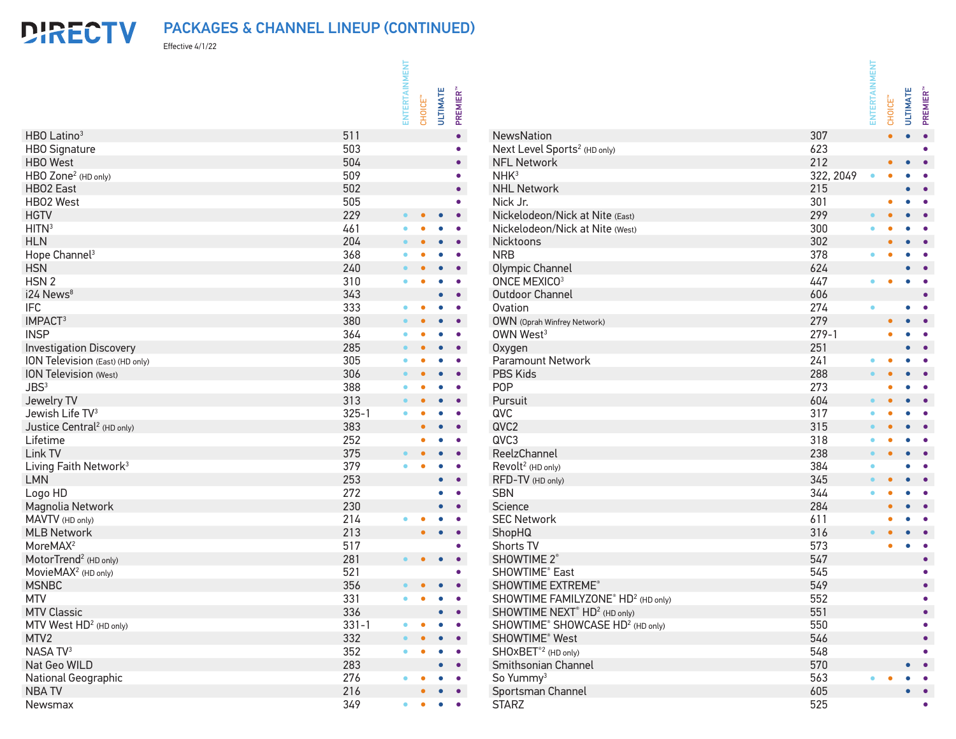## PACKAGES & CHANNEL LINEUP (CONTINUED)

Effective 4/1/22

**DIRECTV** 

|                                        |           | MENT<br>ENTERTAIN        | <b>CHOICE<sup>™</sup></b>                                         | <b>ULTIMATE</b>              | <b>PREMIER</b> <sup>"</sup> |                                                      |           | ENTERTAINMENT | <b>CHOICE<sup>™</sup></b> | <b>ULTIMATE</b>     | PREMIER <sup>"</sup> |
|----------------------------------------|-----------|--------------------------|-------------------------------------------------------------------|------------------------------|-----------------------------|------------------------------------------------------|-----------|---------------|---------------------------|---------------------|----------------------|
| HBO Latino $3$                         | 511       |                          |                                                                   |                              | $\bullet$                   | NewsNation                                           | 307       |               |                           |                     |                      |
| <b>HBO Signature</b>                   | 503       |                          |                                                                   |                              |                             | Next Level Sports <sup>2</sup> (HD only)             | 623       |               |                           |                     |                      |
| <b>HBO West</b>                        | 504       |                          |                                                                   |                              | $\bullet$                   | <b>NFL Network</b>                                   | 212       |               |                           | $\bullet$           |                      |
| HBO Zone <sup>2</sup> (HD only)        | 509       |                          |                                                                   |                              | $\bullet$                   | NHK <sup>3</sup>                                     | 322, 2049 |               |                           |                     |                      |
| HBO2 East                              | 502       |                          |                                                                   |                              | $\bullet$                   | <b>NHL Network</b>                                   | 215       |               |                           |                     |                      |
| HBO2 West                              | 505       |                          |                                                                   |                              | $\bullet$                   | Nick Jr.                                             | 301       |               |                           |                     |                      |
| <b>HGTV</b>                            | 229       |                          |                                                                   | $\bullet$                    | $\bullet$                   | Nickelodeon/Nick at Nite (East)                      | 299       |               |                           |                     |                      |
| HITN <sup>3</sup>                      | 461       |                          |                                                                   |                              | $\bullet$                   | Nickelodeon/Nick at Nite (West)                      | 300       |               |                           |                     | $\bullet$            |
| <b>HLN</b>                             | 204       |                          | $\bullet$                                                         | $\bullet$ $\bullet$          |                             | Nicktoons                                            | 302       |               |                           | $\bullet$ $\bullet$ |                      |
| Hope Channel <sup>3</sup>              | 368       |                          | $\bullet$                                                         | $\bullet$ $\bullet$          |                             | <b>NRB</b>                                           | 378       |               |                           |                     |                      |
| HSN                                    | 240       |                          |                                                                   |                              |                             | Olympic Channel                                      | 624       |               |                           |                     |                      |
| HSN <sub>2</sub>                       | 310       |                          |                                                                   | $\bullet$                    | $\bullet$                   | ONCE MEXICO3                                         | 447       |               |                           |                     |                      |
| i24 News <sup>8</sup>                  | 343       |                          |                                                                   | $\bullet\qquad\bullet$       |                             | Outdoor Channel                                      | 606       |               |                           |                     |                      |
| <b>IFC</b>                             | 333       |                          |                                                                   | $\bullet$                    | $\bullet$                   | Ovation                                              | 274       |               |                           |                     |                      |
| <b>IMPACT<sup>3</sup></b>              | 380       | $\bullet$                |                                                                   |                              |                             | OWN (Oprah Winfrey Network)                          | 279       |               |                           |                     |                      |
| <b>INSP</b>                            | 364       |                          |                                                                   | $\bullet$ $\bullet$          |                             | OWN West <sup>3</sup>                                | $279-1$   |               |                           |                     |                      |
| <b>Investigation Discovery</b>         | 285       |                          | $\bullet$                                                         | $\bullet$ $\bullet$          |                             | Oxygen                                               | 251       |               |                           |                     | $\bullet$            |
| ION Television (East) (HD only)        | 305       |                          |                                                                   | $\bullet$ $\bullet$          |                             | Paramount Network                                    | 241       |               |                           |                     |                      |
| <b>ION Television (West)</b>           | 306       |                          |                                                                   |                              | $\bullet$                   | PBS Kids                                             | 288       |               |                           |                     |                      |
| JBS <sup>3</sup>                       | 388       |                          |                                                                   | $\bullet$                    | $\bullet$                   | <b>POP</b>                                           | 273       |               |                           | $\bullet$ $\bullet$ |                      |
| Jewelry TV                             | 313       | $\bullet \qquad \bullet$ |                                                                   | $\bullet$                    |                             | Pursuit                                              | 604       |               |                           | $\bullet$ $\bullet$ |                      |
| Jewish Life TV <sup>3</sup>            | $325 - 1$ |                          | $\bullet$                                                         |                              |                             | QVC                                                  | 317       |               |                           |                     |                      |
| Justice Central <sup>2</sup> (HD only) | 383       |                          | $\bullet$                                                         | $\bullet$                    |                             | QVC2                                                 | 315       |               |                           | $\bullet$           |                      |
| Lifetime                               | 252       |                          | $\bullet$                                                         |                              | $\bullet$                   | QVC3                                                 | 318       |               |                           |                     |                      |
| Link TV                                | 375       |                          |                                                                   |                              | $\bullet$                   | ReelzChannel                                         | 238       |               |                           |                     |                      |
| Living Faith Network <sup>3</sup>      | 379       |                          |                                                                   |                              | $\bullet$                   | Revolt <sup>2</sup> (HD only)                        | 384       |               |                           |                     |                      |
| LMN                                    | 253       |                          |                                                                   | $\bullet\qquad\bullet$       |                             | RFD-TV (HD only)                                     | 345       |               |                           |                     |                      |
| Logo HD                                | 272       |                          |                                                                   | $\bullet$ $\bullet$          |                             | <b>SBN</b>                                           | 344       |               |                           |                     |                      |
| Magnolia Network                       | 230       |                          |                                                                   | $\bullet\qquad\bullet$       |                             | Science                                              | 284       |               |                           |                     |                      |
| MAVTV (HD only)                        | 214       |                          |                                                                   |                              | $\bullet$                   | <b>SEC Network</b>                                   | 611       |               |                           |                     |                      |
| <b>MLB Network</b>                     | 213       |                          | $\bullet$                                                         |                              |                             | ShopHQ                                               | 316       |               |                           |                     |                      |
| MoreMAX <sup>2</sup>                   | 517       |                          |                                                                   |                              | $\bullet$                   | Shorts TV                                            | 573       |               |                           |                     | $\bullet$            |
| MotorTrend <sup>2</sup> (HD only)      | 281       |                          | $\begin{array}{cccccccccccccc} 0 & 0 & 0 & 0 & 0 \end{array}$     |                              |                             | SHOWTIME 2 <sup>®</sup>                              | 547       |               |                           |                     | $\bullet$            |
| MovieMAX <sup>2</sup> (HD only)        | 521       |                          |                                                                   |                              |                             | SHOWTIME® East                                       | 545       |               |                           |                     |                      |
| <b>MSNBC</b>                           | 356       | $\bullet \qquad \bullet$ |                                                                   | $\bullet$                    |                             | SHOWTIME EXTREME®                                    | 549       |               |                           |                     | $\bullet$            |
| MTV                                    | 331       |                          |                                                                   |                              |                             | SHOWTIME FAMILYZONE® HD <sup>2</sup> (HD only)       | 552       |               |                           |                     |                      |
| <b>MTV Classic</b>                     | 336       |                          |                                                                   | $\bullet\qquad\bullet\qquad$ |                             | SHOWTIME NEXT <sup>®</sup> HD <sup>2</sup> (HD only) | 551       |               |                           |                     | $\bullet$            |
| MTV West HD <sup>2</sup> (HD only)     | $331 - 1$ |                          |                                                                   | $\bullet$ $\bullet$          |                             | SHOWTIME® SHOWCASE HD <sup>2</sup> (HD only)         | 550       |               |                           |                     |                      |
| MTV2                                   | 332       |                          | $\bullet \qquad \bullet \qquad$                                   | $\bullet\qquad\bullet$       |                             | SHOWTIME® West                                       | 546       |               |                           |                     | $\bullet$            |
| NASA TV <sup>3</sup>                   | 352       | $\bullet$                | $\bullet$                                                         | $\bullet$ $\bullet$          |                             | SHOXBET <sup>®2</sup> (HD only)                      | 548       |               |                           |                     | $\bullet$            |
| Nat Geo WILD                           | 283       |                          |                                                                   | $\bullet$ $\bullet$          |                             | Smithsonian Channel                                  | 570       |               |                           | $\bullet$ $\bullet$ |                      |
| National Geographic                    | 276       |                          |                                                                   | $\bullet\qquad\bullet$       |                             | So Yummy <sup>3</sup>                                | 563       |               |                           | $\bullet$ $\bullet$ |                      |
| NBA TV                                 | 216       |                          | $\bullet$                                                         | $\bullet \qquad \bullet$     |                             | Sportsman Channel                                    | 605       |               |                           | $\bullet$ $\bullet$ |                      |
| Newsmax                                | 349       |                          | $\begin{array}{cccccccccccccc} 0 & 0 & 0 & 0 & 0 & 0 \end{array}$ |                              |                             | <b>STARZ</b>                                         | 525       |               |                           |                     | $\bullet$            |

**ULTIMATE PREMIER**<sup>\*\*</sup>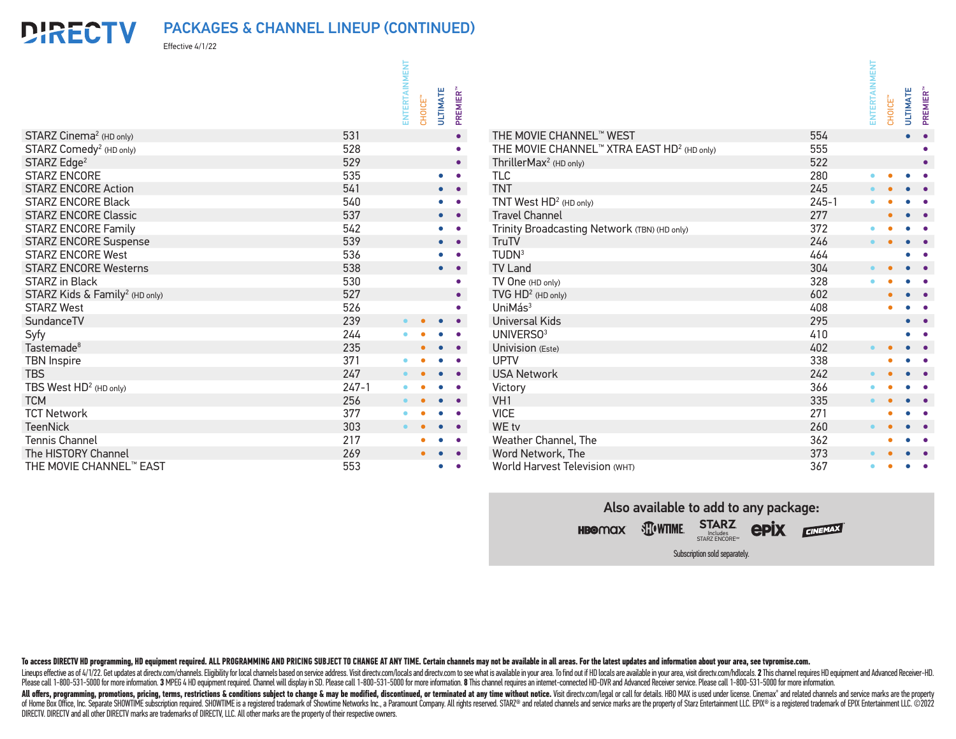Effective 4/1/22

**DIRECTV** 

THE MOVIE CHANNEL™ EAST

|                                            |           | ENTERT | <b>CHOICE<sup>™</sup></b>                                                                             | <b>ULTIMATE</b>          | PREMIER <sup>®</sup> |                                                        |           | ENTERT    | CHOICE <sup>®</sup>                                                                                   | <b>ULTIMATE</b>     | <b>PREMIER</b> <sup>"</sup>  |
|--------------------------------------------|-----------|--------|-------------------------------------------------------------------------------------------------------|--------------------------|----------------------|--------------------------------------------------------|-----------|-----------|-------------------------------------------------------------------------------------------------------|---------------------|------------------------------|
| STARZ Cinema <sup>2</sup> (HD only)        | 531       |        |                                                                                                       |                          | $\bullet$            | THE MOVIE CHANNEL™ WEST                                | 554       |           |                                                                                                       |                     | $\bullet\qquad\bullet$       |
| STARZ Comedy <sup>2</sup> (HD only)        | 528       |        |                                                                                                       |                          | $\bullet$            | THE MOVIE CHANNEL™ XTRA EAST HD <sup>2</sup> (HD only) | 555       |           |                                                                                                       |                     |                              |
| STARZ Edge <sup>2</sup>                    | 529       |        |                                                                                                       |                          | $\bullet$            | ThrillerMax <sup>2</sup> (HD only)                     | 522       |           |                                                                                                       |                     | $\bullet$                    |
| <b>STARZ ENCORE</b>                        | 535       |        |                                                                                                       | $\bullet$ $\bullet$      |                      | TLC                                                    | 280       |           |                                                                                                       |                     | $\bullet$                    |
| <b>STARZ ENCORE Action</b>                 | 541       |        |                                                                                                       | $\bullet \qquad \bullet$ |                      | <b>TNT</b>                                             | 245       |           |                                                                                                       |                     |                              |
| STARZ ENCORE Black                         | 540       |        |                                                                                                       | $\bullet$ $\bullet$      |                      | TNT West HD <sup>2</sup> (HD only)                     | $245 - 1$ |           |                                                                                                       |                     |                              |
| <b>STARZ ENCORE Classic</b>                | 537       |        |                                                                                                       | $\bullet \qquad \bullet$ |                      | <b>Travel Channel</b>                                  | 277       |           | $\bullet$                                                                                             |                     | $\bullet\qquad\bullet$       |
| <b>STARZ ENCORE Family</b>                 | 542       |        |                                                                                                       | $\bullet \qquad \bullet$ |                      | Trinity Broadcasting Network (TBN) (HD only)           | 372       |           |                                                                                                       |                     |                              |
| <b>STARZ ENCORE Suspense</b>               | 539       |        |                                                                                                       | $\bullet \qquad \bullet$ |                      | TruTV                                                  | 246       |           | $\bullet$ $\bullet$                                                                                   |                     | $\bullet\qquad\bullet\qquad$ |
| <b>STARZ ENCORE West</b>                   | 536       |        |                                                                                                       | $\bullet$ $\bullet$      |                      | TUDN <sup>3</sup>                                      | 464       |           |                                                                                                       | ٠                   | $\bullet$                    |
| <b>STARZ ENCORE Westerns</b>               | 538       |        |                                                                                                       | $\bullet \qquad \bullet$ |                      | TV Land                                                | 304       |           |                                                                                                       |                     |                              |
| STARZ in Black                             | 530       |        |                                                                                                       |                          | $\bullet$            | TV One (HD only)                                       | 328       |           |                                                                                                       |                     | $\bullet$                    |
| STARZ Kids & Family <sup>2</sup> (HD only) | 527       |        |                                                                                                       |                          | $\bullet$            | TVG HD <sup>2</sup> (HD only)                          | 602       |           |                                                                                                       | $\bullet$ $\bullet$ | $\bullet$                    |
| <b>STARZ West</b>                          | 526       |        |                                                                                                       |                          | $\bullet$            | UniMás <sup>3</sup>                                    | 408       |           |                                                                                                       |                     | $\bullet$                    |
| SundanceTV                                 | 239       |        |                                                                                                       |                          | $\bullet$            | Universal Kids                                         | 295       |           |                                                                                                       |                     | $\bullet\qquad\bullet$       |
| Syfy                                       | 244       |        |                                                                                                       | $\bullet$                | $\bullet$            | UNIVERSO <sup>3</sup>                                  | 410       |           |                                                                                                       |                     | $\bullet\quad\bullet$        |
| Tastemade <sup>8</sup>                     | 235       |        | $\bullet\qquad\bullet$                                                                                |                          | $\bullet$            | Univision (Este)                                       | 402       | $\bullet$ | $\bullet$                                                                                             | $\bullet$           | $\bullet$                    |
| <b>TBN Inspire</b>                         | 371       |        |                                                                                                       |                          | $\bullet$            | <b>UPTV</b>                                            | 338       |           |                                                                                                       |                     |                              |
| <b>TBS</b>                                 | 247       |        | $\bullet \qquad \bullet \qquad$                                                                       | $\bullet\qquad\bullet$   |                      | <b>USA Network</b>                                     | 242       |           | $\bullet$ $\bullet$                                                                                   |                     | $\bullet\qquad\bullet\qquad$ |
| TBS West HD <sup>2</sup> (HD only)         | $247 - 1$ |        | $\bullet$                                                                                             | $\bullet$                | $\bullet$            | Victory                                                | 366       |           |                                                                                                       |                     |                              |
| <b>TCM</b>                                 | 256       |        | $\begin{array}{cccccccccccccc} \bullet & \bullet & \bullet & \bullet & \bullet & \bullet \end{array}$ |                          |                      | VH <sub>1</sub>                                        | 335       |           | $\bullet$ $\bullet$                                                                                   |                     | $\bullet\qquad\bullet\qquad$ |
| <b>TCT Network</b>                         | 377       |        | $\bullet$                                                                                             | $\bullet$                | $\bullet$            | <b>VICE</b>                                            | 271       |           |                                                                                                       |                     | $\bullet$                    |
| <b>TeenNick</b>                            | 303       |        | $\bullet$                                                                                             | $\bullet$                | $\bullet$            | WE tv                                                  | 260       |           |                                                                                                       |                     |                              |
| <b>Tennis Channel</b>                      | 217       |        | $\bullet$                                                                                             | $\bullet$                | $\bullet$            | Weather Channel, The                                   | 362       |           |                                                                                                       |                     | $\bullet$                    |
| The HISTORY Channel                        | 269       |        | $\begin{array}{ccccccccccccc} \bullet & \bullet & \bullet & \bullet & \bullet \end{array}$            |                          |                      | Word Network, The                                      | 373       |           | $\begin{array}{cccccccccccccc} \bullet & \bullet & \bullet & \bullet & \bullet & \bullet \end{array}$ |                     |                              |
| THE MOVIE CHANNEL™ FAST                    | 553       |        |                                                                                                       | $\bullet$                | $\bullet$            | World Harvest Television (WHT)                         | 367       | $\bullet$ | $\bullet$                                                                                             |                     | $\bullet$ $\bullet$          |

Also available to add to any package:

**STOWTIME HB@MQX** 

World Harvest Television (WHT) 367

Includes STARZ ENCORESM

Subscription sold separately.

To access DIRECTV HD programming, HD equipment required. ALL PROGRAMMING AND PRICING SUBJECT TO CHANGE AT ANY TIME. Certain channels may not be available in all areas. For the latest updates and information about your area

Lineups effective as of 4/1/22. Get updates at directy.com/channels. Eligibility for local channels based on service address. Visit directy.com/locals and directy.com to see what is available in your area. To find out if H Please call 1-800-531-5000 for more information. 3 MPEG 4 HD equipment required. Channel will display in SD. Please call 1-800-531-5000 for more information. 8 This channel requires an internet-connected HD-DVR and Advance

All offers, programming, promotions, pricing, terms, restrictions & conditions subject to change & may be modified, discontinued, or terminated at any time without notice. Visit directy com/legal or call for details. HBO M of Home Box Office, Inc. Separate SHOWTIME subscription required. SHOWTIME is a registered trademark of Showtime Networks Inc., a Paramount Company. All rights reserved. STARZ® and related channels and service marks are th DIRECTV. DIRECTV and all other DIRECTV marks are trademarks of DIRECTV, LLC. All other marks are the property of their respective owners.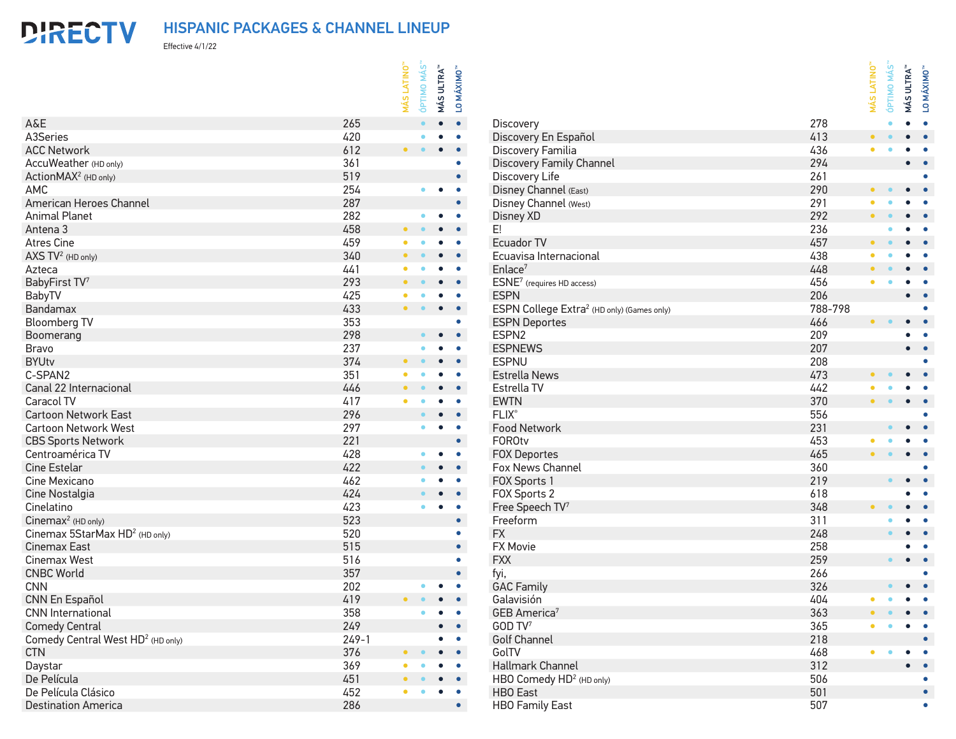#### **DIRECTV** HISPANIC PACKAGES & CHANNEL LINEUP

Effective 4/1/22

|                                               |           | LATINO"                  | ÓPTIMO MÁS <sup>™</sup> | <b>MÁS ULTRA™</b>        | LO MÁXIMO <sup>™</sup> |                                                        |         | MÁS LATINO"              | <b>ÓPTIMO MÁS</b> | <b>MÁS ULTRA™</b> | LO MÁXIMO <sup>™</sup>       |
|-----------------------------------------------|-----------|--------------------------|-------------------------|--------------------------|------------------------|--------------------------------------------------------|---------|--------------------------|-------------------|-------------------|------------------------------|
|                                               |           | MÁS                      |                         |                          |                        |                                                        |         |                          |                   |                   |                              |
| A&E                                           | 265       |                          |                         | $\bullet$                | $\bullet$              | Discovery                                              | 278     |                          |                   |                   |                              |
| A3Series                                      | 420       |                          |                         | $\bullet$                | $\bullet$              | Discovery En Español                                   | 413     |                          |                   |                   |                              |
| <b>ACC Network</b>                            | 612       |                          |                         |                          |                        | Discovery Familia                                      | 436     |                          |                   |                   |                              |
| AccuWeather (HD only)                         | 361       |                          |                         |                          | $\bullet$              | <b>Discovery Family Channel</b>                        | 294     |                          |                   | $\bullet$         | $\bullet$                    |
| ActionMAX <sup>2</sup> (HD only)              | 519       |                          |                         |                          | $\bullet$              | Discovery Life                                         | 261     |                          |                   |                   | $\bullet$                    |
| AMC                                           | 254       |                          | $\bullet$               | $\bullet$                | $\bullet$              | Disney Channel (East)                                  | 290     |                          |                   |                   |                              |
| American Heroes Channel                       | 287       |                          |                         |                          | $\bullet$              | Disney Channel (West)                                  | 291     |                          |                   |                   |                              |
| <b>Animal Planet</b>                          | 282       |                          |                         | $\bullet$                | $\bullet$              | Disney XD                                              | 292     |                          |                   |                   |                              |
| Antena 3                                      | 458       |                          |                         |                          | $\bullet$              | E!                                                     | 236     |                          |                   |                   |                              |
| <b>Atres Cine</b>                             | 459       |                          |                         |                          | $\bullet$              | Ecuador TV                                             | 457     |                          |                   |                   |                              |
| AXS TV <sup>2</sup> (HD only)                 | 340       |                          |                         | $\bullet\qquad\bullet$   |                        | Ecuavisa Internacional                                 | 438     |                          |                   |                   |                              |
| Azteca                                        | 441       |                          |                         | $\bullet$                | $\bullet$              | Enlace <sup>7</sup>                                    | 448     |                          |                   |                   |                              |
| BabyFirst TV7                                 | 293       |                          |                         |                          |                        | ESNE <sup>7</sup> (requires HD access)                 | 456     |                          |                   |                   |                              |
| BabyTV                                        | 425       |                          | $\bullet$               | $\bullet$ $\bullet$      |                        | <b>ESPN</b>                                            | 206     |                          |                   |                   | $\bullet$                    |
| Bandamax                                      | 433       | $\bullet \qquad \bullet$ |                         | $\bullet\qquad\bullet$   |                        | ESPN College Extra <sup>2</sup> (HD only) (Games only) | 788-798 |                          |                   |                   | $\bullet$                    |
| <b>Bloomberg TV</b>                           | 353       |                          |                         |                          | $\bullet$              | <b>ESPN Deportes</b>                                   | 466     | $\bullet\qquad\bullet$   |                   |                   | $\bullet$ $\bullet$          |
| Boomerang                                     | 298       |                          |                         | $\bullet \qquad \bullet$ | $\bullet$              | ESPN2                                                  | 209     |                          |                   |                   | $\bullet$                    |
| Bravo                                         | 237       |                          |                         |                          | $\bullet$              | <b>ESPNEWS</b>                                         | 207     |                          |                   |                   | $\bullet\qquad\bullet$       |
| <b>BYUtv</b>                                  | 374       |                          |                         | $\bullet$                | $\bullet$              | <b>ESPNU</b>                                           | 208     |                          |                   |                   | $\bullet$                    |
| C-SPAN2                                       | 351       |                          |                         | $\bullet$                | $\bullet$              | <b>Estrella News</b>                                   | 473     |                          |                   |                   |                              |
| Canal 22 Internacional                        | 446       |                          |                         | $\bullet$ $\bullet$      |                        | Estrella TV                                            | 442     |                          |                   |                   |                              |
| Caracol TV                                    | 417       | $\bullet$                |                         |                          | $\bullet$              | <b>EWTN</b>                                            | 370     | $\bullet \qquad \bullet$ |                   |                   | $\bullet$                    |
| <b>Cartoon Network East</b>                   | 296       |                          |                         | $\bullet$                |                        | $FLIX^{\circ}$                                         | 556     |                          |                   |                   |                              |
| <b>Cartoon Network West</b>                   | 297       |                          | $\bullet$               | $\bullet$                | $\bullet$              | <b>Food Network</b>                                    | 231     |                          |                   |                   |                              |
| <b>CBS Sports Network</b>                     | 221       |                          |                         |                          | $\bullet$              | <b>FOROtv</b>                                          | 453     |                          |                   |                   |                              |
| Centroamérica TV                              | 428       |                          |                         | $\bullet$ $\bullet$      | $\bullet$              | <b>FOX Deportes</b>                                    | 465     |                          |                   |                   |                              |
| Cine Estelar                                  | 422       |                          |                         | $\bullet$                | $\bullet$              | Fox News Channel                                       | 360     |                          |                   |                   | $\bullet$                    |
| Cine Mexicano                                 | 462       |                          |                         |                          | $\bullet$              | FOX Sports 1                                           | 219     |                          |                   |                   | $\bullet$                    |
| Cine Nostalgia                                | 424       |                          |                         | $\bullet$                | $\bullet$              | FOX Sports 2                                           | 618     |                          |                   |                   | $\bullet$                    |
| Cinelatino                                    | 423       |                          | $\bullet$               | $\bullet$                | $\bullet$              | Free Speech TV7                                        | 348     |                          |                   |                   |                              |
| Cinemax <sup>2</sup> (HD only)                | 523       |                          |                         |                          | $\bullet$              | Freeform                                               | 311     |                          |                   |                   |                              |
| Cinemax 5StarMax HD <sup>2</sup> (HD only)    | 520       |                          |                         |                          | $\bullet$              | <b>FX</b>                                              | 248     |                          |                   |                   | $\bullet$                    |
| Cinemax East                                  | 515       |                          |                         |                          | $\bullet$              | <b>FX Movie</b>                                        | 258     |                          |                   |                   | $\bullet$                    |
| Cinemax West                                  | 516       |                          |                         |                          | $\bullet$              | <b>FXX</b>                                             | 259     |                          |                   | $\bullet$         | $\bullet$                    |
| <b>CNBC World</b>                             | 357       |                          |                         |                          | $\bullet$              | fyi,                                                   | 266     |                          |                   |                   | $\bullet$                    |
| <b>CNN</b>                                    | 202       |                          | $\bullet$               |                          | $\bullet$              | <b>GAC Family</b>                                      | 326     |                          |                   | $\bullet$         | $\bullet$                    |
| CNN En Español                                | 419       |                          |                         |                          |                        | Galavisión                                             | 404     |                          |                   |                   |                              |
| <b>CNN</b> International                      | 358       |                          |                         | $\bullet$                | $\bullet$              | GEB America <sup>7</sup>                               | 363     | $\bullet$                | $\bullet$         |                   | $\bullet\qquad\bullet\qquad$ |
| <b>Comedy Central</b>                         | 249       |                          |                         | $\bullet$ $\bullet$      |                        | GOD TV <sup>7</sup>                                    | 365     | $\bullet$                |                   |                   |                              |
| Comedy Central West HD <sup>2</sup> (HD only) | $249 - 1$ |                          |                         | $\bullet$ $\bullet$      |                        | Golf Channel                                           | 218     |                          |                   |                   | $\bullet$                    |
| <b>CTN</b>                                    | 376       |                          |                         | $\bullet\qquad\bullet$   |                        | GolTV                                                  | 468     | ۰                        |                   |                   | $\bullet$                    |
| Daystar                                       | 369       |                          |                         | $\bullet\qquad\bullet$   |                        | Hallmark Channel                                       | 312     |                          |                   |                   |                              |
| De Película                                   | 451       |                          |                         | $\bullet\qquad\bullet$   |                        | HBO Comedy HD <sup>2</sup> (HD only)                   | 506     |                          |                   |                   |                              |
| De Película Clásico                           | 452       |                          |                         | $\bullet$                | $\bullet$              | <b>HBO</b> East                                        | 501     |                          |                   |                   | $\bullet$                    |
| <b>Destination America</b>                    | 286       |                          |                         |                          | $\bullet$              | <b>HBO Family East</b>                                 | 507     |                          |                   |                   | $\bullet$                    |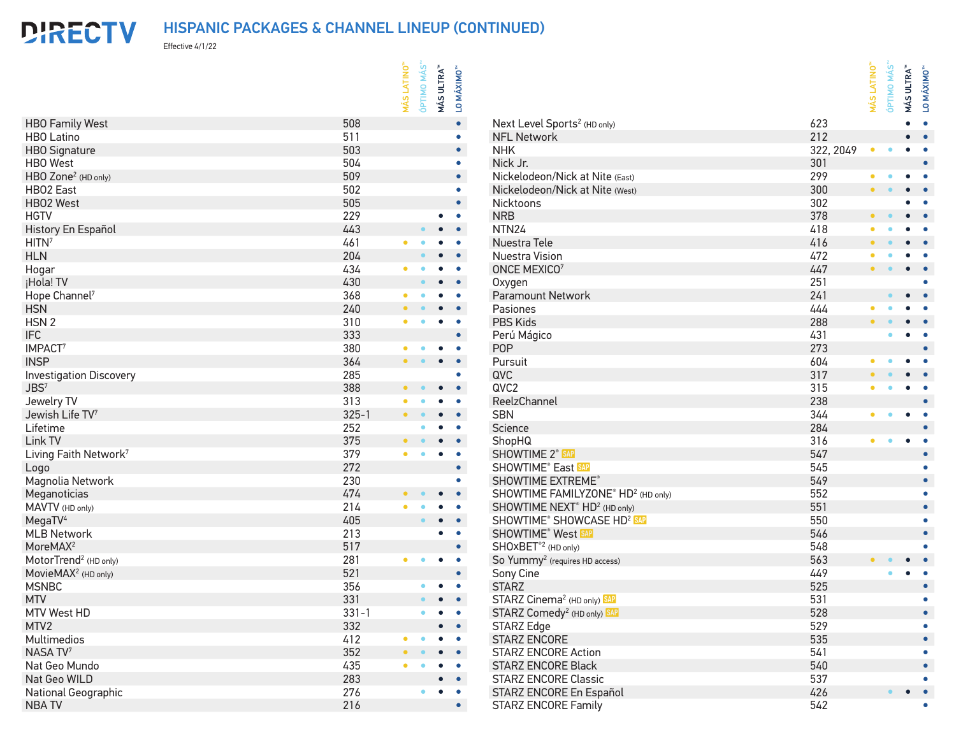#### **DIRECTV** HISPANIC PACKAGES & CHANNEL LINEUP (CONTINUED)

Effective 4/1/22

|                                   |           | LATINO" | ÓPTIMO MÁS"<br><b>MÁS ULTRA™</b> |                     | LO MÁXIMO <sup>™</sup> |                                                      |           | MÁS LATINO" | <b>ÓPTIMO MÁS</b> | <b>MÁS ULTRA™</b> | LO MÁXIMO" |
|-----------------------------------|-----------|---------|----------------------------------|---------------------|------------------------|------------------------------------------------------|-----------|-------------|-------------------|-------------------|------------|
|                                   |           | MÁS     |                                  |                     |                        |                                                      |           |             |                   |                   |            |
| <b>HBO Family West</b>            | 508       |         |                                  |                     | $\bullet$              | Next Level Sports <sup>2</sup> (HD only)             | 623       |             |                   |                   |            |
| <b>HBO Latino</b>                 | 511       |         |                                  |                     | $\bullet$              | <b>NFL Network</b>                                   | 212       |             |                   |                   | $\bullet$  |
| <b>HBO</b> Signature              | 503       |         |                                  |                     | $\bullet$              | <b>NHK</b>                                           | 322, 2049 |             |                   |                   |            |
| <b>HBO</b> West                   | 504       |         |                                  |                     | $\bullet$              | Nick Jr.                                             | 301       |             |                   |                   |            |
| HBO Zone <sup>2</sup> (HD only)   | 509       |         |                                  |                     | $\bullet$              | Nickelodeon/Nick at Nite (East)                      | 299       |             |                   |                   |            |
| HBO2 East                         | 502       |         |                                  |                     | $\bullet$              | Nickelodeon/Nick at Nite (West)                      | 300       |             |                   |                   |            |
| HBO2 West                         | 505       |         |                                  |                     | $\bullet$              | Nicktoons                                            | 302       |             |                   |                   |            |
| <b>HGTV</b>                       | 229       |         |                                  | $\bullet$           | $\bullet$              | <b>NRB</b>                                           | 378       |             |                   |                   |            |
| History En Español                | 443       |         |                                  |                     | $\bullet$              | NTN <sub>24</sub>                                    | 418       |             |                   |                   |            |
| HITN <sup>7</sup>                 | 461       |         |                                  |                     |                        | Nuestra Tele                                         | 416       |             |                   |                   |            |
| <b>HLN</b>                        | 204       |         |                                  |                     | $\bullet$              | Nuestra Vision                                       | 472       |             |                   |                   |            |
| Hogar                             | 434       |         |                                  |                     |                        | ONCE MEXICO7                                         | 447       |             |                   |                   |            |
| ¡Hola! TV                         | 430       |         |                                  |                     |                        | Oxygen                                               | 251       |             |                   |                   |            |
| Hope Channel <sup>7</sup>         | 368       |         | $\bullet$                        |                     | $\bullet$              | Paramount Network                                    | 241       |             |                   |                   |            |
| <b>HSN</b>                        | 240       |         |                                  |                     | $\bullet$              | Pasiones                                             | 444       |             |                   |                   |            |
| HSN <sub>2</sub>                  | 310       |         |                                  |                     | $\bullet$              | PBS Kids                                             | 288       |             |                   |                   |            |
| <b>IFC</b>                        | 333       |         |                                  |                     | $\bullet$              | Perú Mágico                                          | 431       |             |                   |                   |            |
| IMPACT <sup>7</sup>               | 380       |         |                                  |                     |                        | POP                                                  | 273       |             |                   |                   | $\bullet$  |
| <b>INSP</b>                       | 364       |         | $\bullet$                        |                     |                        | Pursuit                                              | 604       |             |                   |                   |            |
| <b>Investigation Discovery</b>    | 285       |         |                                  |                     |                        | QVC                                                  | 317       |             |                   |                   |            |
| JBS <sup>7</sup>                  | 388       |         | $\bullet$                        |                     |                        | QVC2                                                 | 315       |             |                   |                   |            |
| Jewelry TV                        | 313       |         |                                  |                     | $\bullet$              | ReelzChannel                                         | 238       |             |                   |                   | $\bullet$  |
| Jewish Life TV7                   | $325 - 1$ |         |                                  |                     |                        | <b>SBN</b>                                           | 344       |             |                   |                   |            |
| Lifetime                          | 252       |         |                                  |                     |                        | Science                                              | 284       |             |                   |                   |            |
| Link TV                           | 375       |         |                                  |                     |                        | ShopHQ                                               | 316       |             |                   |                   | $\bullet$  |
| Living Faith Network <sup>7</sup> | 379       |         |                                  |                     |                        | <b>SHOWTIME 2<sup>®</sup> SAP</b>                    | 547       |             |                   |                   |            |
|                                   | 272       |         |                                  |                     | $\bullet$              | SHOWTIME® East SAP                                   | 545       |             |                   |                   |            |
| Logo<br>Magnolia Network          | 230       |         |                                  |                     | $\bullet$              | SHOWTIME EXTREME®                                    | 549       |             |                   |                   | $\bullet$  |
|                                   | 474       |         |                                  |                     |                        | SHOWTIME FAMILYZONE® HD <sup>2</sup> (HD only)       | 552       |             |                   |                   |            |
| Meganoticias                      | 214       |         |                                  |                     |                        |                                                      | 551       |             |                   |                   |            |
| MAVTV (HD only)                   |           |         |                                  |                     |                        | SHOWTIME NEXT <sup>®</sup> HD <sup>2</sup> (HD only) | 550       |             |                   |                   | $\bullet$  |
| MegaTV <sup>4</sup>               | 405       |         | $\bullet$                        |                     | $\bullet$              | SHOWTIME® SHOWCASE HD <sup>2</sup> SAP               |           |             |                   |                   |            |
| <b>MLB Network</b>                | 213       |         | $\bullet$                        |                     | $\bullet$              | SHOWTIME® West SAP                                   | 546       |             |                   |                   |            |
| MoreMAX <sup>2</sup>              | 517       |         |                                  |                     | $\bullet$              | SHOXBET <sup>®2</sup> (HD only)                      | 548       |             |                   |                   |            |
| MotorTrend <sup>2</sup> (HD only) | 281       |         | $\bullet$                        |                     | $\bullet$              | So Yummy <sup>2</sup> (requires HD access)           | 563       |             |                   |                   |            |
| MovieMAX <sup>2</sup> (HD only)   | 521       |         |                                  |                     | $\bullet$              | Sony Cine                                            | 449       |             |                   |                   |            |
| <b>MSNBC</b>                      | 356       |         | $\bullet$                        |                     | $\bullet$              | <b>STARZ</b>                                         | 525       |             |                   |                   | $\bullet$  |
| <b>MTV</b>                        | 331       |         |                                  |                     |                        | STARZ Cinema <sup>2</sup> (HD only) SAP              | 531       |             |                   |                   |            |
| MTV West HD                       | $331 - 1$ |         |                                  | $\bullet$ $\bullet$ |                        | STARZ Comedy <sup>2</sup> (HD only) SAP              | 528       |             |                   |                   | $\bullet$  |
| MTV2                              | 332       |         |                                  | $\bullet$ $\bullet$ |                        | <b>STARZ Edge</b>                                    | 529       |             |                   |                   |            |
| Multimedios                       | 412       |         |                                  | $\bullet$           | $\bullet$              | <b>STARZ ENCORE</b>                                  | 535       |             |                   |                   |            |
| NASA TV7                          | 352       |         | $\bullet$                        |                     | $\bullet$              | <b>STARZ ENCORE Action</b>                           | 541       |             |                   |                   |            |
| Nat Geo Mundo                     | 435       |         |                                  |                     | $\bullet$              | <b>STARZ ENCORE Black</b>                            | 540       |             |                   |                   |            |
| Nat Geo WILD                      | 283       |         |                                  | $\bullet$ $\bullet$ |                        | <b>STARZ ENCORE Classic</b>                          | 537       |             |                   |                   |            |
| National Geographic               | 276       |         | $\bullet$                        |                     | $\bullet$              | STARZ ENCORE En Español                              | 426       |             |                   | $\bullet$         | $\bullet$  |
| <b>NBATV</b>                      | 216       |         |                                  |                     | $\bullet$              | <b>STARZ ENCORE Family</b>                           | 542       |             |                   |                   |            |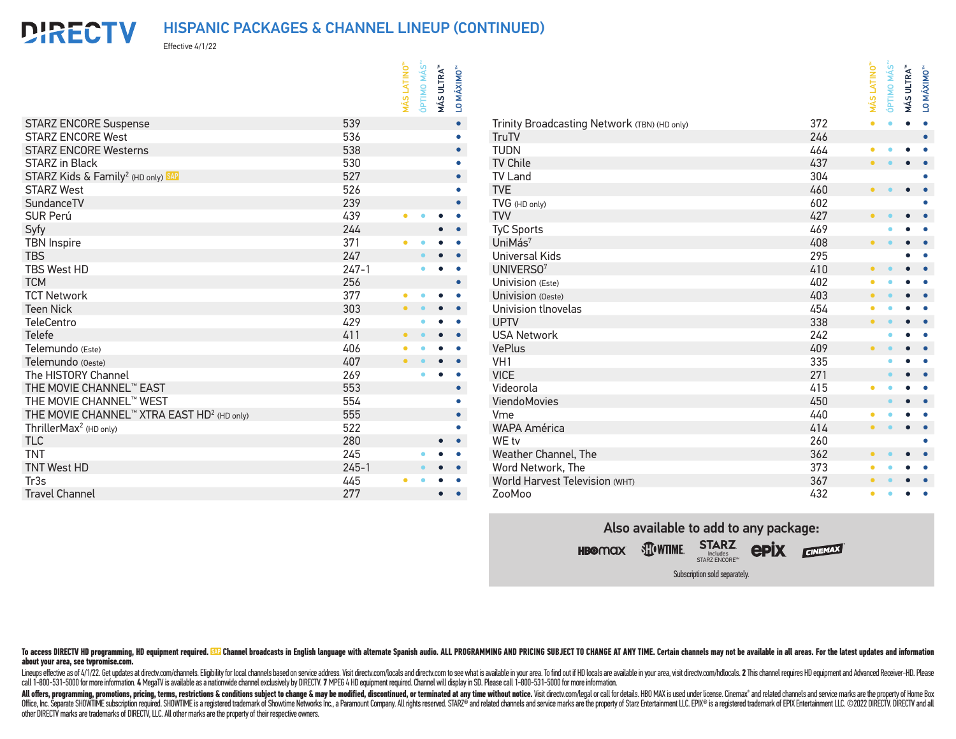#### HISPANIC PACKAGES & CHANNEL LINEUP (CONTINUED) **DIRECTV**

Effective 4/1/22

|                                                        |           | MÁS LATINO                   | ÓPTIMO MÁS<br><b>MÁS ULTRA™</b> | MÁXIMO <sup>™</sup><br>$\overline{a}$ |                                              |     | <b>MÁS LATINO</b> | <b>ÓPTIMO MÁS</b>        | <b>MÁS ULTRA™</b>   | LO MÁXIMO <sup>™</sup> |
|--------------------------------------------------------|-----------|------------------------------|---------------------------------|---------------------------------------|----------------------------------------------|-----|-------------------|--------------------------|---------------------|------------------------|
| <b>STARZ ENCORE Suspense</b>                           | 539       |                              |                                 | $\bullet$                             | Trinity Broadcasting Network (TBN) (HD only) | 372 |                   |                          |                     |                        |
| <b>STARZ ENCORE West</b>                               | 536       |                              |                                 | $\bullet$                             | TruTV                                        | 246 |                   |                          |                     | $\bullet$              |
| <b>STARZ ENCORE Westerns</b>                           | 538       |                              |                                 | $\bullet$                             | <b>TUDN</b>                                  | 464 |                   |                          |                     |                        |
| <b>STARZ</b> in Black                                  | 530       |                              |                                 | $\bullet$                             | TV Chile                                     | 437 |                   |                          |                     |                        |
| STARZ Kids & Family <sup>2</sup> (HD only) SAP         | 527       |                              |                                 | $\bullet$                             | <b>TV Land</b>                               | 304 |                   |                          |                     |                        |
| <b>STARZ West</b>                                      | 526       |                              |                                 | $\bullet$                             | <b>TVE</b>                                   | 460 |                   | $\bullet\qquad\bullet$   | $\bullet$           |                        |
| SundanceTV                                             | 239       |                              |                                 | $\bullet$                             | TVG (HD only)                                | 602 |                   |                          |                     |                        |
| SUR Perú                                               | 439       |                              | $\bullet$                       | $\bullet$                             | <b>TVV</b>                                   | 427 | $\bullet$         |                          |                     |                        |
| Syfy                                                   | 244       |                              |                                 | $\bullet$ $\bullet$                   | <b>TyC Sports</b>                            | 469 |                   |                          |                     |                        |
| <b>TBN Inspire</b>                                     | 371       |                              |                                 | $\bullet\qquad\bullet$                | UniMás <sup>7</sup>                          | 408 |                   | $\bullet \qquad \bullet$ |                     |                        |
| <b>TBS</b>                                             | 247       |                              | $\bullet$                       | $\bullet\qquad\bullet$                | <b>Universal Kids</b>                        | 295 |                   |                          | $\bullet$           | $\bullet$              |
| TBS West HD                                            | $247 - 1$ |                              | $\bullet$                       | $\bullet$ $\bullet$                   | UNIVERSO <sup>7</sup>                        | 410 |                   | $\bullet\qquad\bullet$   |                     |                        |
| <b>TCM</b>                                             | 256       |                              |                                 | $\bullet$                             | Univision (Este)                             | 402 | $\bullet$         |                          |                     |                        |
| <b>TCT Network</b>                                     | 377       | $\bullet$                    | $\bullet$                       | $\bullet$ $\bullet$                   | Univision (Oeste)                            | 403 |                   | $\bullet\qquad\bullet$   |                     | $\bullet$ $\bullet$    |
| <b>Teen Nick</b>                                       | 303       | $\bullet \qquad \bullet$     |                                 | $\bullet$ $\bullet$                   | Univision tlnovelas                          | 454 | $\bullet$         |                          |                     |                        |
| TeleCentro                                             | 429       |                              |                                 | $\bullet$ $\bullet$                   | <b>UPTV</b>                                  | 338 |                   | $\bullet\qquad\bullet$   |                     | $\bullet\quad\bullet$  |
| Telefe                                                 | 411       | $\bullet$ $\bullet$          |                                 | $\bullet\qquad\bullet$                | <b>USA Network</b>                           | 242 |                   |                          |                     | $\bullet$ $\bullet$    |
| Telemundo (Este)                                       | 406       |                              |                                 | $\bullet\quad\bullet$                 | VePlus                                       | 409 |                   | $\bullet$ $\bullet$      |                     |                        |
| Telemundo (Oeste)                                      | 407       | $\bullet\qquad\bullet\qquad$ |                                 | $\bullet$ $\bullet$                   | VH1                                          | 335 |                   |                          |                     | $\bullet\quad\bullet$  |
| The HISTORY Channel                                    | 269       |                              | $\bullet$                       | $\bullet$                             | <b>VICE</b>                                  | 271 |                   |                          |                     | $\bullet$ $\bullet$    |
| THE MOVIE CHANNEL™ EAST                                | 553       |                              |                                 |                                       | Videorola                                    | 415 |                   |                          |                     |                        |
| THE MOVIE CHANNEL™ WEST                                | 554       |                              |                                 | $\bullet$                             | ViendoMovies                                 | 450 |                   |                          |                     | $\bullet\quad\bullet$  |
| THE MOVIE CHANNEL™ XTRA EAST HD <sup>2</sup> (HD only) | 555       |                              |                                 | $\bullet$                             | Vme                                          | 440 |                   |                          |                     |                        |
| ThrillerMax <sup>2</sup> (HD only)                     | 522       |                              |                                 |                                       | <b>WAPA América</b>                          | 414 |                   | $\bullet\qquad\bullet$   | $\bullet$ $\bullet$ |                        |
| <b>TLC</b>                                             | 280       |                              |                                 | $\bullet\qquad\bullet$                | WE tv                                        | 260 |                   |                          |                     |                        |
| <b>TNT</b>                                             | 245       |                              | $\bullet$                       | $\bullet\qquad\bullet$                | Weather Channel, The                         | 362 |                   | $\bullet$ $\bullet$      | $\bullet$ $\bullet$ |                        |
| TNT West HD                                            | $245 - 1$ |                              | $\bullet$                       | $\bullet\qquad\bullet$                | Word Network, The                            | 373 |                   |                          |                     |                        |
| Tr3s                                                   | 445       |                              |                                 | $\bullet$ $\bullet$                   | World Harvest Television (WHT)               | 367 |                   |                          |                     |                        |
| <b>Travel Channel</b>                                  | 277       |                              |                                 | $\bullet\qquad\bullet$                | ZooMoo                                       | 432 | $\bullet$         |                          |                     |                        |

Also available to add to any package:

Includes STARZ ENCORESM

Subscription sold separately.

To access DIRECTV HD programming. HD equipment required, 850 Channel broadcasts in English language with alternate Spanish audio. ALL PROGRAMMING AND PRICING SUBJECT TO CHANGE AT ANY TIME. Certain channels may not be avail **about your area, see tvpromise.com.**

Lineups effective as of 4/1/22. Get updates at directy.com/channels. Eligiblity for local channels based on service address. Visit directy.com/locals and directy.com to see what is available in your area. To find out if HD call 1-800-531-5000 for more information. 4 MegaTV is available as a nationwide channel exclusively by DIRECTV. 7 MPEG 4 HD equipment required. Channel will display in SD. Please call 1-800-531-5000 for more information.

All offers, programming, promotions, pricing, terms, restrictions & conditions subject to change & may be modified, discontinued, or terminated at any time without notice. Visit directy.com/legal or call for details. HBO M Office, Inc. Separate SHOWTIME subscription required. SHOWTIME is a registered trademark of Showtime Networks Inc., a Paramount Company. All rights reserved. STARZ® and related channels and service marks are the property o other DIRECTV marks are trademarks of DIRECTV, LLC. All other marks are the property of their respective owners.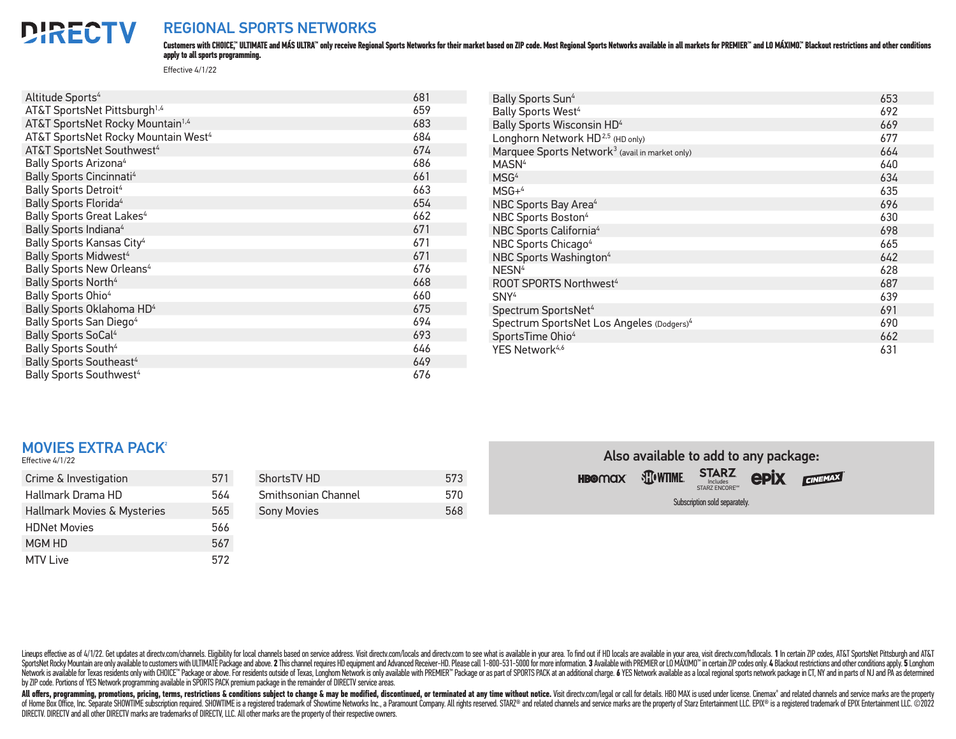# **DIRECTV**

# REGIONAL SPORTS NETWORKS

Customers with CHOICE," ULTIMATE and MÁS ULTRA" only receive Regional Sports Networks for their market based on ZIP code. Most Regional Sports Networks available in all markets for PREMIER" and LO MÁXIMO." Blackout restric **apply to all sports programming.**

Effective 4/1/22

| Altitude Sports <sup>4</sup>                    | 681 |
|-------------------------------------------------|-----|
| AT&T SportsNet Pittsburgh <sup>1,4</sup>        | 659 |
| AT&T SportsNet Rocky Mountain <sup>1,4</sup>    | 683 |
| AT&T SportsNet Rocky Mountain West <sup>4</sup> | 684 |
| AT&T SportsNet Southwest <sup>4</sup>           | 674 |
| Bally Sports Arizona <sup>4</sup>               | 686 |
| <b>Bally Sports Cincinnati4</b>                 | 661 |
| <b>Bally Sports Detroit4</b>                    | 663 |
| Bally Sports Florida <sup>4</sup>               | 654 |
| Bally Sports Great Lakes <sup>4</sup>           | 662 |
| Bally Sports Indiana <sup>4</sup>               | 671 |
| Bally Sports Kansas City <sup>4</sup>           | 671 |
| Bally Sports Midwest <sup>4</sup>               | 671 |
| Bally Sports New Orleans <sup>4</sup>           | 676 |
| Bally Sports North <sup>4</sup>                 | 668 |
| Bally Sports Ohio <sup>4</sup>                  | 660 |
| Bally Sports Oklahoma HD <sup>4</sup>           | 675 |
| Bally Sports San Diego <sup>4</sup>             | 694 |
| Bally Sports SoCal <sup>4</sup>                 | 693 |
| Bally Sports South <sup>4</sup>                 | 646 |
| Bally Sports Southeast <sup>4</sup>             | 649 |
| Bally Sports Southwest <sup>4</sup>             | 676 |

| Bally Sports Sun <sup>4</sup>                              | 653 |
|------------------------------------------------------------|-----|
| Bally Sports West <sup>4</sup>                             | 692 |
| Bally Sports Wisconsin HD <sup>4</sup>                     | 669 |
| Longhorn Network HD <sup>2,5</sup> (HD only)               | 677 |
| Marquee Sports Network <sup>3</sup> (avail in market only) | 664 |
| MASN <sup>4</sup>                                          | 640 |
| MSG <sup>4</sup>                                           | 634 |
| $MSG+4$                                                    | 635 |
| NBC Sports Bay Area <sup>4</sup>                           | 696 |
| NBC Sports Boston <sup>4</sup>                             | 630 |
| NBC Sports California <sup>4</sup>                         | 698 |
| NBC Sports Chicago <sup>4</sup>                            | 665 |
| NBC Sports Washington <sup>4</sup>                         | 642 |
| NESN <sup>4</sup>                                          | 628 |
| ROOT SPORTS Northwest <sup>4</sup>                         | 687 |
| SNY <sup>4</sup>                                           | 639 |
| Spectrum SportsNet <sup>4</sup>                            | 691 |
| Spectrum SportsNet Los Angeles (Dodgers) <sup>4</sup>      | 690 |
| SportsTime Ohio <sup>4</sup>                               | 662 |
| YES Network <sup>4,6</sup>                                 | 631 |

#### MOVIES EXTRA PACK<sup>2</sup> Effective 4/1/22

| Crime & Investigation       | 571 | ShortsTV HD        |
|-----------------------------|-----|--------------------|
| Hallmark Drama HD           | 564 | Smithsonian        |
| Hallmark Movies & Mysteries | 565 | <b>Sony Movies</b> |
| <b>HDNet Movies</b>         | 566 |                    |
| MGM HD                      | 567 |                    |
| <b>MTV</b> Live             | 572 |                    |

| ShortsTV HD         | 573 |
|---------------------|-----|
| Smithsonian Channel | 570 |
| <b>Sony Movies</b>  | 568 |

|                       | Also available to add to any package: |                                                         |  |  |
|-----------------------|---------------------------------------|---------------------------------------------------------|--|--|
| HBOMAX <b>TVITIME</b> |                                       | STARZ <b>CPIX</b> CINEMAX<br>STARZ ENCORE <sup>5M</sup> |  |  |
|                       |                                       | Subscription sold separately.                           |  |  |

Lineups effective as of 4/1/22. Get updates at directv.com/channels. Eligibility for local channels based on service address. Visit directv.com/locals and directv.com to see what is available in your area. To find out if H SportsNet Rocky Mountain are only available to customers with ULTIMATE Package and above. 2 This channel requires HD equipment and Advanced Receiver-HD. Please call 1-800-531-5000 for more information. 3 Available with PRE Network is available for Texas residents only with CHOICE™ Package or above. For residents outside of Texas, Longhom Network is only available with PREMIER™ Package or as part of SPORTS PACK at an additional charge. 6 YES by ZIP code. Portions of YES Network programming available in SPORTS PACK premium package in the remainder of DIRECTV service areas.

All offers, programming, promotions, pricing, terms, restrictions & conditions subject to change & may be modified, discontinued, or terminated at any time without notice. Visit directy.com/legal or call for details. HBO M of Home Box Office, Inc. Separate SHOWTIME subscription required. SHOWTIME is a registered trademark of Showtime Networks Inc., a Paramount Company. All rights reserved. STARZ® and related channels and service marks are th DIRECTV. DIRECTV and all other DIRECTV marks are trademarks of DIRECTV, LLC. All other marks are the property of their respective owners.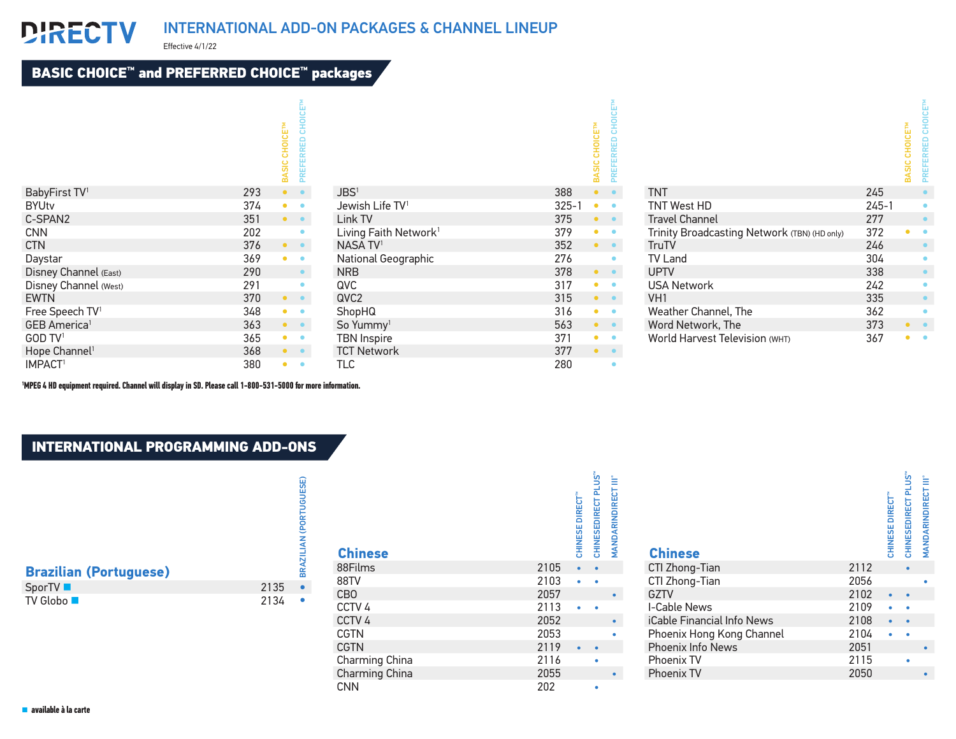

Effective 4/1/22

#### BASIC CHOICE™ and PREFERRED CHOICE™ packages

|                             |     | <b>BASIC</b>                    | 공<br>$\Box$<br>PREFI |                                   |           | 유                        |                                              |           | <b>CHOICETM</b><br><b>BASIC</b> | <b>CHOICET</b><br><b>RRED</b><br>PREFI |
|-----------------------------|-----|---------------------------------|----------------------|-----------------------------------|-----------|--------------------------|----------------------------------------------|-----------|---------------------------------|----------------------------------------|
| BabyFirst TV <sup>1</sup>   | 293 |                                 |                      | JBS <sup>1</sup>                  | 388       |                          | <b>TNT</b>                                   | 245       |                                 |                                        |
| <b>BYUtv</b>                | 374 |                                 |                      | Jewish Life TV <sup>1</sup>       | $325 - 7$ |                          | TNT West HD                                  | $245 - 1$ |                                 |                                        |
| C-SPAN2                     | 351 | $\bullet\qquad\bullet\qquad$    |                      | Link TV                           | 375       |                          | <b>Travel Channel</b>                        | 277       |                                 |                                        |
| <b>CNN</b>                  | 202 |                                 |                      | Living Faith Network <sup>1</sup> | 379       |                          | Trinity Broadcasting Network (TBN) (HD only) | 372       |                                 |                                        |
| <b>CTN</b>                  | 376 |                                 | $\bullet$            | NASA TV <sup>1</sup>              | 352       |                          | TruTV                                        | 246       |                                 |                                        |
| Daystar                     | 369 |                                 |                      | National Geographic               | 276       |                          | <b>TV Land</b>                               | 304       |                                 |                                        |
| Disney Channel (East)       | 290 |                                 | $\bullet$            | <b>NRB</b>                        | 378       |                          | <b>UPTV</b>                                  | 338       |                                 |                                        |
| Disney Channel (West)       | 291 |                                 |                      | QVC                               | 317       |                          | <b>USA Network</b>                           | 242       |                                 |                                        |
| <b>EWTN</b>                 | 370 |                                 |                      | QVC2                              | 315       |                          | VH <sub>1</sub>                              | 335       |                                 |                                        |
| Free Speech TV <sup>1</sup> | 348 |                                 |                      | ShopHQ                            | 316       |                          | Weather Channel, The                         | 362       |                                 |                                        |
| GEB America <sup>1</sup>    | 363 | $\bullet \qquad \bullet \qquad$ |                      | So Yummy <sup>1</sup>             | 563       | $\bullet \qquad \bullet$ | Word Network, The                            | 373       | $\bullet \qquad \bullet$        |                                        |
| GOD TV <sup>1</sup>         | 365 |                                 |                      | TBN Inspire                       | 371       |                          | World Harvest Television (WHT)               | 367       |                                 | $\bullet$                              |
| Hope Channel <sup>1</sup>   | 368 |                                 | $\bullet$            | <b>TCT Network</b>                | 377       |                          |                                              |           |                                 |                                        |
| IMPACT <sup>1</sup>         | 380 |                                 |                      | <b>TLC</b>                        | 280       |                          |                                              |           |                                 |                                        |

**1 MPEG 4 HD equipment required. Channel will display in SD. Please call 1-800-531-5000 for more information.**

BRAZILIAN (PORTUGUESE)

BRAZILIAN (PORTUGUESE)

#### INTERNATIONAL PROGRAMMING ADD-ONS

|                               |      | BRAZILIAN (PORTUGL |
|-------------------------------|------|--------------------|
| <b>Brazilian (Portuguese)</b> |      |                    |
| SporTV <sup>1</sup>           | 2135 |                    |
| TV Globo ■                    | 2134 | ٠                  |

| <b>Chinese</b>    |      | <b>CHINESE DIRECT®</b> | CHINESEDIRECT PLUS™ | <b>MANDARINDIRECT</b> |
|-------------------|------|------------------------|---------------------|-----------------------|
| 88Films           | 2105 |                        |                     |                       |
| 88TV              | 2103 |                        |                     |                       |
| CB <sub>0</sub>   | 2057 |                        |                     |                       |
| CCTV <sub>4</sub> | 2113 |                        |                     |                       |
| CCTV <sub>4</sub> | 2052 |                        |                     |                       |
| <b>CGTN</b>       | 2053 |                        |                     |                       |
| <b>CGTN</b>       | 2119 |                        |                     |                       |
| Charming China    | 2116 |                        |                     |                       |
| Charming China    | 2055 |                        |                     |                       |
| <b>CNN</b>        | 202  |                        |                     |                       |

| CHINESEDIRECT PLUS"<br><b>MANDARINDIRECT III</b> * | <b>Chinese</b> |
|----------------------------------------------------|----------------|
|                                                    | CTI Zhong-Tia  |
|                                                    | CTI Zhong-Tia  |
|                                                    | $C$ $7T1$      |

| <b>Chinese</b>             |      | <b>CHINESE</b> | ш | <b>HAQNAN</b> |
|----------------------------|------|----------------|---|---------------|
| CTI Zhong-Tian             | 2112 |                |   |               |
| CTI Zhong-Tian             | 2056 |                |   |               |
| GZTV                       | 2102 |                |   |               |
| I-Cable News               | 2109 |                |   |               |
| iCable Financial Info News | 2108 |                |   |               |
| Phoenix Hong Kong Channel  | 2104 |                |   |               |

Phoenix Info News 2051 • 2051 • 2051 • 2015 Phoenix TV 2115 • Phoenix TV 2050 •

CHINESE DIRECT™ CHINESEDIRECT PLUS™ MANDARINDIRECT III®

CHINESE DIRECT<sup>®</sup>

**CHINESEDIRECT PLUS<sup>™</sup>** 

**MANDARINDIRECT III\***